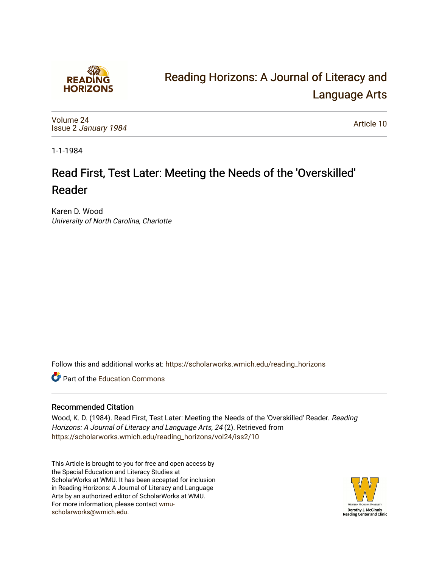

# [Reading Horizons: A Journal of Literacy and](https://scholarworks.wmich.edu/reading_horizons)  [Language Arts](https://scholarworks.wmich.edu/reading_horizons)

[Volume 24](https://scholarworks.wmich.edu/reading_horizons/vol24) Issue 2 [January 1984](https://scholarworks.wmich.edu/reading_horizons/vol24/iss2)

[Article 10](https://scholarworks.wmich.edu/reading_horizons/vol24/iss2/10) 

1-1-1984

# Read First, Test Later: Meeting the Needs of the 'Overskilled' Reader

Karen D. Wood University of North Carolina, Charlotte

Follow this and additional works at: [https://scholarworks.wmich.edu/reading\\_horizons](https://scholarworks.wmich.edu/reading_horizons?utm_source=scholarworks.wmich.edu%2Freading_horizons%2Fvol24%2Fiss2%2F10&utm_medium=PDF&utm_campaign=PDFCoverPages)

**C** Part of the [Education Commons](http://network.bepress.com/hgg/discipline/784?utm_source=scholarworks.wmich.edu%2Freading_horizons%2Fvol24%2Fiss2%2F10&utm_medium=PDF&utm_campaign=PDFCoverPages)

## Recommended Citation

Wood, K. D. (1984). Read First, Test Later: Meeting the Needs of the 'Overskilled' Reader. Reading Horizons: A Journal of Literacy and Language Arts, 24 (2). Retrieved from [https://scholarworks.wmich.edu/reading\\_horizons/vol24/iss2/10](https://scholarworks.wmich.edu/reading_horizons/vol24/iss2/10?utm_source=scholarworks.wmich.edu%2Freading_horizons%2Fvol24%2Fiss2%2F10&utm_medium=PDF&utm_campaign=PDFCoverPages) 

This Article is brought to you for free and open access by the Special Education and Literacy Studies at ScholarWorks at WMU. It has been accepted for inclusion in Reading Horizons: A Journal of Literacy and Language Arts by an authorized editor of ScholarWorks at WMU. For more information, please contact [wmu](mailto:wmu-scholarworks@wmich.edu)[scholarworks@wmich.edu.](mailto:wmu-scholarworks@wmich.edu)

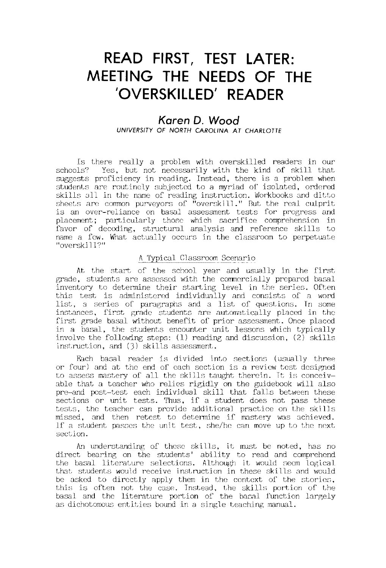## **READ FIRST, TEST LATER: MEETING THE NEEDS OF THE IOVERSKILLED' READER**

## *Karen* **D.** *Wood*

**UNIVERSITY OF NORTH CAROLINA AT CHARLOTTE** 

Is there really a problem with overskilled readers in our schools? Yes, but not necessarily with the kind of skill that Yes, but not necessarily with the kind of skill that subsubsumed and the measurement of the number of the state of the state of the state of the suggests proficiency in reading. Instead, there is a problem when students are routinely subjected to a myriad of isolated, ordered skills all in the name of reading instruction. Workbooks and ditto sheets are common purveyors of "overskill." But the real culprit is an over-reliance on basal assessment tests for progress and placement; particularly those which sacrifice comprehension in favor of decoding, structural analysis and reference skills to name a few. What actually occurs in the classroom to perpetuate "overskill?"

#### A Typical Classroom Scenario

At the start, of the school year and usually in the first grade, students are assessed with the commercially prepared basal inventory to determine their starting level in the series. Often this test is administered individually and consists of a word list, a series of paragraphs and a list of questions. In some instances, first grade students are automatically placed in the first grade basal without benefit of prior assessment. Once placed in a basal, the students encounter unit lessons which typically involve the following steps: (1) reading and discussion, (2) skills instruction, and (3) skills assessment.

Each basal reader is divided into sections (usually three or four) and at the end of each section is a review test designed to assess mastery of all the skills taught therein. It is conceivable that a teacher who relies rigidly on the guidebook will also pre-and post-test each individual skill that falls between these sections or unit tests. Thus, if a student does not pass these tests, the teacher can provide additional practice on the skills missed, and then retest to determine if mastery was achieved. If a student passes the unit test, she/he can move up to the next section.

An understanding of these skills, it must be noted, has no direct bearing on the students' ability to read and comprehend the basal literature selections. Although it would seem logical that students would receive instruction in these skills and would be asked to directly apply them in the context of the stories, this is often not the case. Instead, the skills portion of the basal and the literature portion of the basal function largely as dichotomous entities bound in a single teaching manual.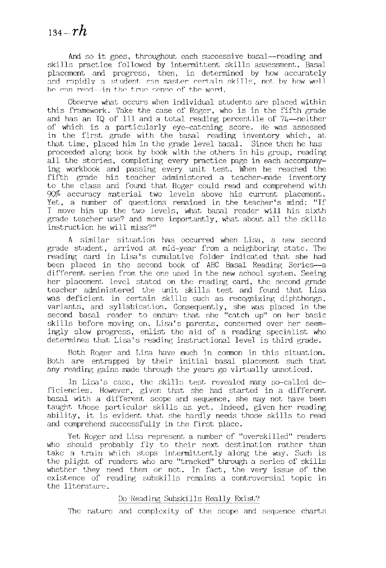And so it goes, throughout each successive basal—reading and skills practice followed by intermittent skills assessment. Basal placement and progress, then, is determined by how accurately and rapidly a student can master certain skills, not by how well he can read-tin the true sense of the word.

Observe what occurs when individual students are placed within this framework. Take the case of Roger, who is in the fifth grade and has an IQ of III and a total reading percentile of 74--neither of which is a particularly eye-catching score. He was assessed in the first grade with the basal reading inventory which, at that time, placed him in the grade level basal. Since then he has proceeded along book by book with the others in his group, reading all the stories, completing every practice page in each accompanying workbook and passing every unit test. When he reached the fifth grade his teacher administered a teacher-made inventory to the class and found that Roger could read and comprehend with 90% accuracy material two levels above his current placement. Yet, a number of questions remained in the teacher's mind: "If I move him up the two levels, what basal reader will his sixth grade teacher use? and more importantly, what about all the skills instruction he will miss?"

A similar situation has occurred when Lisa, a new second grade student, arrived at mid-year from a neighboring state. The reading card in Lisa's cumulative folder indicated that she had been placed in the second book of ABC Basal Reading Series--a different series from the one used in the new school system. Seeing her placement level stated on the reading card, the second grade teacher administered the unit skills test and found that Lisa was deficient in certain skills such as recognizing diphthongs, variants, and syllabication. Consequently, she was placed in the second basal reader to ensure that she "catch up" on her basic skills before moving on. Lisa's parents, concerned over her seemingly slow progress, enlist the aid of a reading specialist who determines that Lisa's reading instructional level is third grade.

Both Roger and Lisa have much in corrmon in this situation. Both are entrapped by their initial basal placement such that any reading gains made through the years go virtually unnoticed.

In Lisa's case, the skills test revealed many so-called deficiencies. However, given that she had started in a different basal with a different scope and sequence, she may not have been taught those particular skills as yet. Indeed, given her reading ability, it is evident that she hardly needs those skills to read and comprehend successfully in the first place.

Yet Roger and Lisa represent a number of "overskilled" readers who should probably fly to their next destination rather than take a train which stops intermittently along the way. Such is the plight of readers who are "tracked" through a series of skills whether they need them or not. In fact, the very issue of the existence of reading subskills remains a controversial topic in the literature.

#### Do Reading Subskills Really Exist?

The nature and complexity of the scope and sequence charts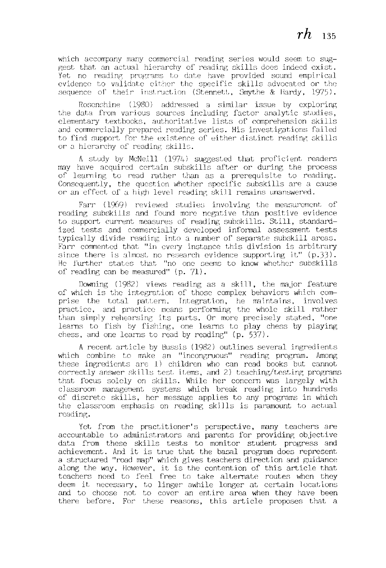which accompany many commercial reading series would seem to suggest that an actual hierarchy of reading skills does indeed exist. Yet no readinp; programs to date have provided sound empirical evidence to validate either the specific skills advocated or the sequence of their instruction (Stennett, Smythe & Hardy, 1975).

Rosenshine (1980) addressed a similar issue by exploring the data from various sources including factor analytic studies, elementary textbooks, authoritative lists of comprehension skills and commercially prepared reading series. His investigations failed to find support for the existence of either distinct reading skills or a hierarchy of reading skills.

A study by McNeill (197h) suggested that proficient readers may have acquired certain subskills after or during the process of learning to read rather than as a prerequisite to reading. Consequently, the question whether specific subskills are a cause or an effect of a high level reading skill remains unanswered.

Farr (1969) reviewed studies involving the measurement of reading subskills and found more negative than positive evidence to support current measures of reading subskills. Still, standardized tests and commercially developed infomal assessment tests typically divide reading into a number of separate subskill areas. Farr commented that "in every instance this division is arbitrary since there is almost no research evidence supporting it"  $(p.33)$ . He further states that "no one seems to know whether subskills of reading can be measured" (p. 71).

Downing (1982) views reading as a skill, the major feature of which is the integration of those complex behaviors which comprise the total pattern. Integration, he maintains, involves practice, and practice means performing the whole skill rather than simply rehearsing its parts. Or more precisely stated, "one learns to fish by fishing, one learns to play chess by playing chess, and one learns to read by reading" (p. 537).

A recent article by Bussis (1982) outlines several ingredients which combine to make an "incongruous" reading program. Among these ingredients are 1) children who can read books but cannot correctly answer skills test items, and 2) teaching/testing programs that focus solely on skills. While her concern was largely with classroom management systems which break reading into hundreds of discrete skills, her message applies to any programs in which the classroom emphasis on reading skills is paramount to actual reading.

Yet from the practitioner's perspective, many teachers are accountable to administrators and parents for providing objective data from these skills tests to monitor student progress and achievement. And it is true that the basal program does represent a structured "road map" which gives teachers direction and guidance along the way. However, it is the contention of this article that teachers need to feel free to take alt,ernate routes when they deem it necessary, to linger awhile longer at certain locations and to choose not to cover an entire area when they have been there before. For these reasons, this article proposes that a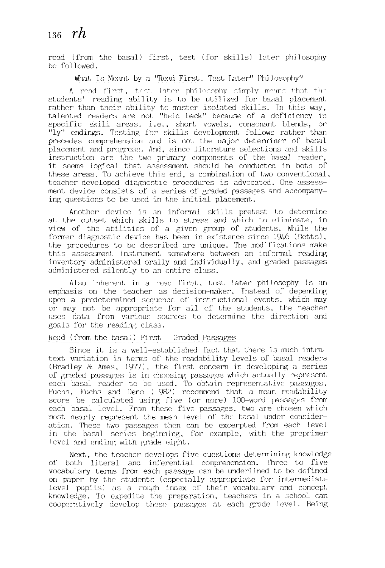## *136-rh*

read (from the basal) first, test (for skills) later philosophy be followed.

What Is Meant by a "Read First, Test Later" Philosophy?

 $\Lambda$  read first, test later philosophy simply means that the students' reading ability is to be utilized for basal placement rather than their ability to master isolated skills. In this way, talented readers are not "held back" because of a deficiency in specific skill areas, i.e., short vowels, consonant blends, or "ly" endings. Testing for skills development follows rather than precedes comprehension and is not the major determiner of basal placement and progress. And, since literature selections and skills instruction are the two primary components of the basal reader, it seems logical that assessment should be conducted in both of these areas. To achieve this end, a combination of two conventional, teacher-developed diagnostic procedures is advocated. One assessment device consists of a series of graded passages and accompanying questions to be used in the initial placement.

Another device is an informal skills pretest to determine at the outset which skills to stress and which to eliminate, in view of the abilities of a given group of students. While the former diagnostic device has been in existence since 1946 (Betts), the procedures to be described are unique. The modifications make this assessment instrument somewhere between an informal reading inventory administered orally and individually, and graded passages administered silently to an entire class.

Also inherent in a read first, test later philosophy is an emphasis on the teacher as decision-maker. Instead of depending upon a predetermined sequence of instructional events, which may or may not be appropriate for all of the students, the teacher uses data from various sources to determine the direction and goals for the reading class.

#### Read (from the basal) First - Graded Passages

Since it is a well-established fact that there is much intratext variation in terms of the readability levels of basal readers (Bradley & Ames, 1977), the first concern in developing a series of graded passages is in choosing passages which actually represent each basal reader to be used. To obtain representative passages, Fuchs, Fuchs and Deno (1982) recommend that a mean readability score be calculated using five (or more) lOO-word passages from each basal level. From these five passages, two are chosen which most nearly represent the mean level of the basal under consideration. These two passages then can be excerpted from each level in the basal series beginning, for example, with the preprimer level and ending with grade eight.

Next. the teacher develops five questions determining knowledge of both literal and inferential comprehension. Three to five vocabulary terms from each passage can be underlined to be defined on paper by the students (especially appropriate for intermediate level pupils) as a rough index of their vocabulary and concept knowledge. To expedite the preparation, teachers in a school can cooperatively develop these passages at each grade level. Being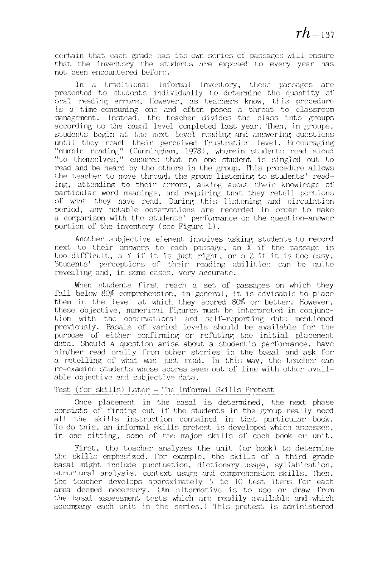certain that each grade has its own series of passages will ensure that the inventory the students are exposed to every year has not been encountered before.

In a traditional informal inventory, these passages are presented to students individually to determine the quantity of oral reading errors. However, as teachers know, this procedure is a time-consuming one and often poses a threat to classroom management. Instead, the teacher divides the class into groups according to the basal level completed last year. Then, in groups, students begin at the next level reading and answering questions until they reach their perceived frustration level. Encouraging "mumble reading" (Cunningham, 1978), wherein students read aloud "to themsel ves," ensures that no one student is singled out to read and be heard by the others in the group. 'fhis procedure allows the teacher to move through the group listening to students' reading, attending to their errors, asking about their knowledge of particular word meanings, and requiring that they retell portions of what they have read. During this listening and circulation period, any notable observations are recorded in order to make a comparison with the students' performance on the question-answer portion of the inventory (see Figure 1).

Another subjective element involves asking students to record next to their answers to each passage, an  $X$  if the passage is too difficult, a Y if it is just right, or a Z if it is too easy. Students' perceptions of their reading abilities can be quite revealing and, in some cases, very accurate.

When students first reach a set of passages on which they fall below 80% comprehension, in general, it is advisable to place them in the level at which they scored  $80\%$  or better. However, these objective, numerical figures must be interpreted in conjunction with the observational and self-reporting data mentioned previously. Basals of varied levels should be available for the purpose of either confirming or refuting the initial placement data. Should a question arise about a student's performance, have him/her read orally from other stories in the basal and ask for a retelling of what was just read. In this way, the teacher can re-examine students whose scores seem out of line with other available objective and subjective data.

#### Test (for skills) Later - The Informal Skills Pretest

Once placement in the basal is determined, the next phase consists of finding out if the students in the group really need all the skills instruction contained in that particular book. To do this, an informal skills pretest is developed which assesses, in one sitting, some of the major skills of each book or unit.

First, the teacher analyzes the unit (or book) to determine the skills emphasized. For example, the skills of a third grade basal might include punctuation, dictionary usage, syllabication, structural analysis, context usage and comprehension skills. Then, the teacher develops approximately  $5$  to 10 test items for each area deemed necessary. (An alternative is to use or draw from the basal assessment tests which are readily available and which accompany each unit in the series.) This pretest is administered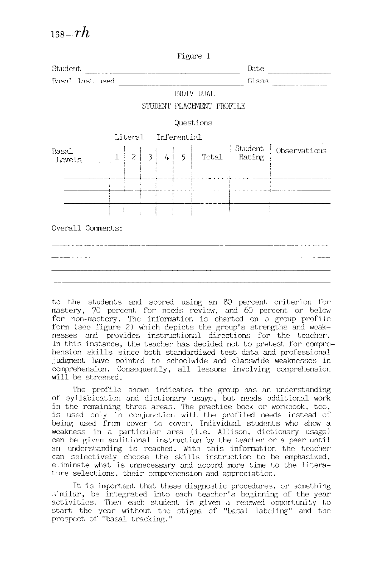|                   |   |                |   |               |                     | rigure i                  |                   |              |
|-------------------|---|----------------|---|---------------|---------------------|---------------------------|-------------------|--------------|
| Student           |   |                |   |               |                     |                           | Date              |              |
| Basal last used   |   | Class          |   |               |                     |                           |                   |              |
|                   |   |                |   |               |                     | INDIVIDUAL                |                   |              |
|                   |   |                |   |               |                     | STUDENT PLACEMENT PROFILE |                   |              |
|                   |   |                |   |               |                     | Questions                 |                   |              |
|                   |   |                |   |               | Literal Inferential |                           |                   |              |
| Basal<br>Levels   | ٦ | $\overline{2}$ | 3 | $\frac{1}{2}$ | 5                   | Total                     | Student<br>Rating | Observations |
|                   |   |                |   |               |                     |                           |                   |              |
|                   |   |                |   |               |                     |                           |                   |              |
|                   |   |                |   |               |                     |                           |                   |              |
|                   |   |                |   |               |                     |                           |                   |              |
| Overall Comments: |   |                |   |               |                     |                           |                   |              |

 $T12$  and  $T1$ 

| the company of the control of the control and control and control and control of the control and control of the |                            |               |
|-----------------------------------------------------------------------------------------------------------------|----------------------------|---------------|
|                                                                                                                 |                            | _____________ |
| _____________                                                                                                   | <b>STATISTICS</b><br>_____ |               |
|                                                                                                                 |                            |               |

to the students and scored using an 80 percent criterion for mastery, 70 percent for needs review, and 60 percent or below for non-mastery. The information is charted on a group profile form (see figure 2) which depicts the group's strengths and weaknesses and provides instructional directions for the teacher. In this instance, the teacher has decided not to pretest for comprehension skills since both standardized test data and professional judgment have pointed to schoolwide and classwide weaknesses in comprehension. Consequently, all lessons involving comprehension will be stressed.

The profile shown indicates the group has an understanding of syllabication and dictionary usage, but needs additional work in the rermining three areas. The practice book or workbook, too, is used only in conjunction with the profiled needs instead of being used from cover to cover. Individual students who show a weakness in a particular area (i.e. Allison, dictionary usage) can be given additional instruction by the teacher or a peer until an understanding is reached. With this infonmtion the teacher can selectively choose the skills instruction to be emphasized, eliminate what is unnecessary and accord more time to the literature selections, their comprehension and appreciation.

It is important that these diagnostic procedures, or something similar, be integrated into each teacher's beginning of the year activities. Then each student is given a renewed opportunity to start the year without the stigma of "basal labeling" and the prospect of "basal tracking."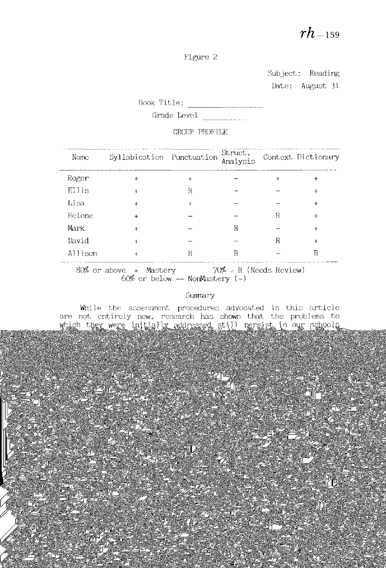Figure 2

Subject: Reading Date: August 31

Book Title:

 $Grade$  Level  $\qquad \qquad \qquad \ldots$ 

## GROUP PROFILE

| Name    | Syllabication Punctuation                     |           | Struct.<br>Analysis                               |   | Context Dictionary |
|---------|-----------------------------------------------|-----------|---------------------------------------------------|---|--------------------|
| Roger   | $\ddot{}$                                     | $\ddot{}$ |                                                   |   |                    |
| Ellis   |                                               | R         |                                                   |   |                    |
| Lisa    | $+$                                           |           |                                                   |   | $\ddot{}$          |
| Helene  | $\ddot{}$                                     |           |                                                   |   |                    |
| Mark    | $+$                                           |           | R                                                 |   |                    |
| David   |                                               |           |                                                   | R |                    |
| Allison | $+$                                           | R         | R                                                 |   | R                  |
|         | 80% or above + Mastery<br>$600 \times h^{-1}$ |           | $70\%$ = R (Needs Review)<br>$M$ oo $M$ ootoxy () |   |                    |

 $60\%$  or below - NonMastery  $(-)$ 

### Summary

While the assessment procedures advocated in this article are not entirely new, research has shown that the problems to which they were initially addressed still persist in our schools today. Almost two decades ago, Austin and Morrison (1963) reported

that most of what was taught in reading was corrmonly determined by what appeared next in the basilies of the basilies of the basilies of the basilies of the basilies of the ba<br>.